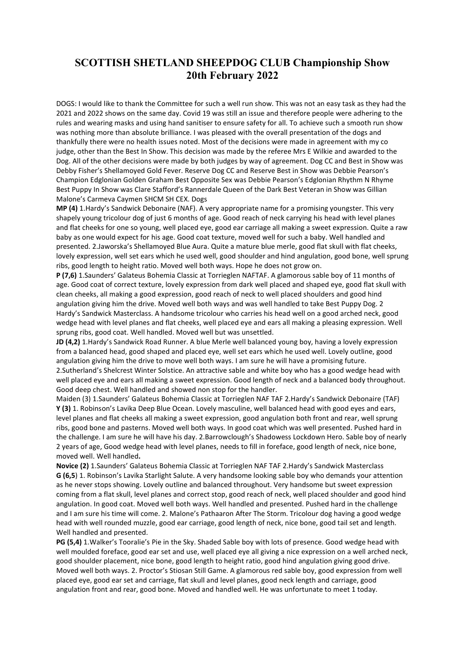## SCOTTISH SHETLAND SHEEPDOG CLUB Championship Show 20th February 2022

DOGS: I would like to thank the Committee for such a well run show. This was not an easy task as they had the 2021 and 2022 shows on the same day. Covid 19 was still an issue and therefore people were adhering to the rules and wearing masks and using hand sanitiser to ensure safety for all. To achieve such a smooth run show was nothing more than absolute brilliance. I was pleased with the overall presentation of the dogs and thankfully there were no health issues noted. Most of the decisions were made in agreement with my co judge, other than the Best In Show. This decision was made by the referee Mrs E Wilkie and awarded to the Dog. All of the other decisions were made by both judges by way of agreement. Dog CC and Best in Show was Debby Fisher's Shellamoyed Gold Fever. Reserve Dog CC and Reserve Best in Show was Debbie Pearson's Champion Edglonian Golden Graham Best Opposite Sex was Debbie Pearson's Edglonian Rhythm N Rhyme Best Puppy In Show was Clare Stafford's Rannerdale Queen of the Dark Best Veteran in Show was Gillian Malone's Carmeva Caymen SHCM SH CEX. Dogs

MP (4) 1.Hardy's Sandwick Debonaire (NAF). A very appropriate name for a promising youngster. This very shapely young tricolour dog of just 6 months of age. Good reach of neck carrying his head with level planes and flat cheeks for one so young, well placed eye, good ear carriage all making a sweet expression. Quite a raw baby as one would expect for his age. Good coat texture, moved well for such a baby. Well handled and presented. 2.Jaworska's Shellamoyed Blue Aura. Quite a mature blue merle, good flat skull with flat cheeks, lovely expression, well set ears which he used well, good shoulder and hind angulation, good bone, well sprung ribs, good length to height ratio. Moved well both ways. Hope he does not grow on.

P (7,6) 1.Saunders' Galateus Bohemia Classic at Torrieglen NAFTAF. A glamorous sable boy of 11 months of age. Good coat of correct texture, lovely expression from dark well placed and shaped eye, good flat skull with clean cheeks, all making a good expression, good reach of neck to well placed shoulders and good hind angulation giving him the drive. Moved well both ways and was well handled to take Best Puppy Dog. 2 Hardy's Sandwick Masterclass. A handsome tricolour who carries his head well on a good arched neck, good wedge head with level planes and flat cheeks, well placed eye and ears all making a pleasing expression. Well sprung ribs, good coat. Well handled. Moved well but was unsettled.

JD (4,2) 1.Hardy's Sandwick Road Runner. A blue Merle well balanced young boy, having a lovely expression from a balanced head, good shaped and placed eye, well set ears which he used well. Lovely outline, good angulation giving him the drive to move well both ways. I am sure he will have a promising future. 2.Sutherland's Shelcrest Winter Solstice. An attractive sable and white boy who has a good wedge head with well placed eye and ears all making a sweet expression. Good length of neck and a balanced body throughout. Good deep chest. Well handled and showed non stop for the handler.

Maiden (3) 1.Saunders' Galateus Bohemia Classic at Torrieglen NAF TAF 2.Hardy's Sandwick Debonaire (TAF) Y (3) 1. Robinson's Lavika Deep Blue Ocean. Lovely masculine, well balanced head with good eyes and ears, level planes and flat cheeks all making a sweet expression, good angulation both front and rear, well sprung ribs, good bone and pasterns. Moved well both ways. In good coat which was well presented. Pushed hard in the challenge. I am sure he will have his day. 2.Barrowclough's Shadowess Lockdown Hero. Sable boy of nearly 2 years of age, Good wedge head with level planes, needs to fill in foreface, good length of neck, nice bone, moved well. Well handled.

Novice (2) 1.Saunders' Galateus Bohemia Classic at Torrieglen NAF TAF 2.Hardy's Sandwick Masterclass G (6,5) 1. Robinson's Lavika Starlight Salute. A very handsome looking sable boy who demands your attention as he never stops showing. Lovely outline and balanced throughout. Very handsome but sweet expression coming from a flat skull, level planes and correct stop, good reach of neck, well placed shoulder and good hind angulation. In good coat. Moved well both ways. Well handled and presented. Pushed hard in the challenge and I am sure his time will come. 2. Malone's Pathaaron After The Storm. Tricolour dog having a good wedge head with well rounded muzzle, good ear carriage, good length of neck, nice bone, good tail set and length. Well handled and presented.

PG (5,4) 1.Walker's Tooralie's Pie in the Sky. Shaded Sable boy with lots of presence. Good wedge head with well moulded foreface, good ear set and use, well placed eye all giving a nice expression on a well arched neck, good shoulder placement, nice bone, good length to height ratio, good hind angulation giving good drive. Moved well both ways. 2. Proctor's Stiosan Still Game. A glamorous red sable boy, good expression from well placed eye, good ear set and carriage, flat skull and level planes, good neck length and carriage, good angulation front and rear, good bone. Moved and handled well. He was unfortunate to meet 1 today.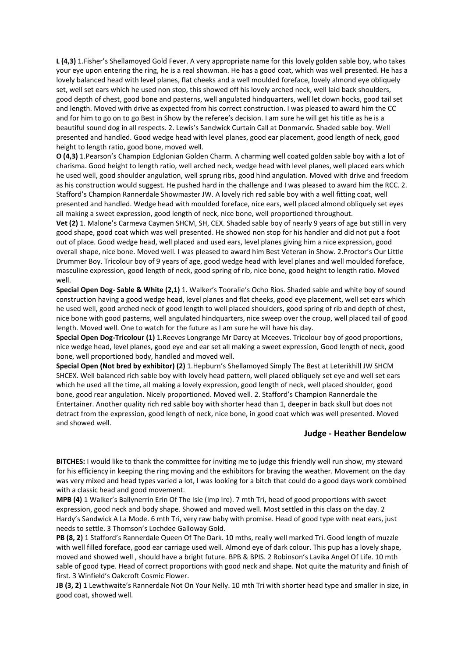L (4,3) 1.Fisher's Shellamoyed Gold Fever. A very appropriate name for this lovely golden sable boy, who takes your eye upon entering the ring, he is a real showman. He has a good coat, which was well presented. He has a lovely balanced head with level planes, flat cheeks and a well moulded foreface, lovely almond eye obliquely set, well set ears which he used non stop, this showed off his lovely arched neck, well laid back shoulders, good depth of chest, good bone and pasterns, well angulated hindquarters, well let down hocks, good tail set and length. Moved with drive as expected from his correct construction. I was pleased to award him the CC and for him to go on to go Best in Show by the referee's decision. I am sure he will get his title as he is a beautiful sound dog in all respects. 2. Lewis's Sandwick Curtain Call at Donmarvic. Shaded sable boy. Well presented and handled. Good wedge head with level planes, good ear placement, good length of neck, good height to length ratio, good bone, moved well.

O (4,3) 1.Pearson's Champion Edglonian Golden Charm. A charming well coated golden sable boy with a lot of charisma. Good height to length ratio, well arched neck, wedge head with level planes, well placed ears which he used well, good shoulder angulation, well sprung ribs, good hind angulation. Moved with drive and freedom as his construction would suggest. He pushed hard in the challenge and I was pleased to award him the RCC. 2. Stafford's Champion Rannerdale Showmaster JW. A lovely rich red sable boy with a well fitting coat, well presented and handled. Wedge head with moulded foreface, nice ears, well placed almond obliquely set eyes all making a sweet expression, good length of neck, nice bone, well proportioned throughout.

Vet (2) 1. Malone's Carmeva Caymen SHCM, SH, CEX. Shaded sable boy of nearly 9 years of age but still in very good shape, good coat which was well presented. He showed non stop for his handler and did not put a foot out of place. Good wedge head, well placed and used ears, level planes giving him a nice expression, good overall shape, nice bone. Moved well. I was pleased to award him Best Veteran in Show. 2.Proctor's Our Little Drummer Boy. Tricolour boy of 9 years of age, good wedge head with level planes and well moulded foreface, masculine expression, good length of neck, good spring of rib, nice bone, good height to length ratio. Moved well.

Special Open Dog- Sable & White (2,1) 1. Walker's Tooralie's Ocho Rios. Shaded sable and white boy of sound construction having a good wedge head, level planes and flat cheeks, good eye placement, well set ears which he used well, good arched neck of good length to well placed shoulders, good spring of rib and depth of chest, nice bone with good pasterns, well angulated hindquarters, nice sweep over the croup, well placed tail of good length. Moved well. One to watch for the future as I am sure he will have his day.

Special Open Dog-Tricolour (1) 1.Reeves Longrange Mr Darcy at Mceeves. Tricolour boy of good proportions, nice wedge head, level planes, good eye and ear set all making a sweet expression, Good length of neck, good bone, well proportioned body, handled and moved well.

Special Open (Not bred by exhibitor) (2) 1.Hepburn's Shellamoyed Simply The Best at Leterikhill JW SHCM SHCEX. Well balanced rich sable boy with lovely head pattern, well placed obliquely set eye and well set ears which he used all the time, all making a lovely expression, good length of neck, well placed shoulder, good bone, good rear angulation. Nicely proportioned. Moved well. 2. Stafford's Champion Rannerdale the Entertainer. Another quality rich red sable boy with shorter head than 1, deeper in back skull but does not detract from the expression, good length of neck, nice bone, in good coat which was well presented. Moved and showed well.

## Judge - Heather Bendelow

BITCHES: I would like to thank the committee for inviting me to judge this friendly well run show, my steward for his efficiency in keeping the ring moving and the exhibitors for braving the weather. Movement on the day was very mixed and head types varied a lot, I was looking for a bitch that could do a good days work combined with a classic head and good movement.

MPB (4) 1 Walker's Ballynerrin Erin Of The Isle (Imp Ire). 7 mth Tri, head of good proportions with sweet expression, good neck and body shape. Showed and moved well. Most settled in this class on the day. 2 Hardy's Sandwick A La Mode. 6 mth Tri, very raw baby with promise. Head of good type with neat ears, just needs to settle. 3 Thomson's Lochdee Galloway Gold.

PB (8, 2) 1 Stafford's Rannerdale Queen Of The Dark. 10 mths, really well marked Tri. Good length of muzzle with well filled foreface, good ear carriage used well. Almond eye of dark colour. This pup has a lovely shape, moved and showed well , should have a bright future. BPB & BPIS. 2 Robinson's Lavika Angel Of Life. 10 mth sable of good type. Head of correct proportions with good neck and shape. Not quite the maturity and finish of first. 3 Winfield's Oakcroft Cosmic Flower.

JB (3, 2) 1 Lewthwaite's Rannerdale Not On Your Nelly. 10 mth Tri with shorter head type and smaller in size, in good coat, showed well.